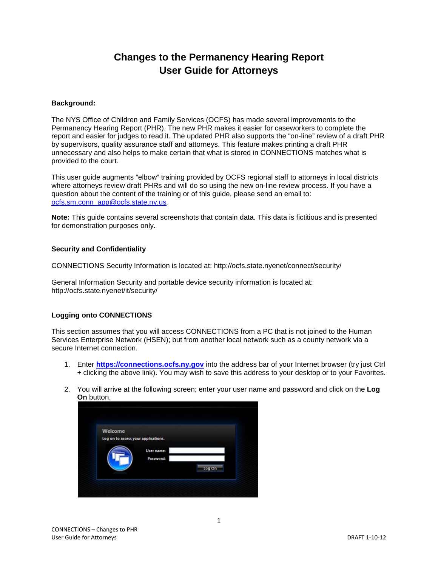# **Changes to the Permanency Hearing Report User Guide for Attorneys**

#### **Background:**

The NYS Office of Children and Family Services (OCFS) has made several improvements to the Permanency Hearing Report (PHR). The new PHR makes it easier for caseworkers to complete the report and easier for judges to read it. The updated PHR also supports the "on-line" review of a draft PHR by supervisors, quality assurance staff and attorneys. This feature makes printing a draft PHR unnecessary and also helps to make certain that what is stored in CONNECTIONS matches what is provided to the court.

This user guide augments "elbow" training provided by OCFS regional staff to attorneys in local districts where attorneys review draft PHRs and will do so using the new on-line review process. If you have a question about the content of the training or of this guide, please send an email to: [ocfs.sm.conn\\_app@ocfs.state.ny.us](mailto:ocfs.sm.conn_app@ocfs.state.ny.us)*.*

**Note:** This guide contains several screenshots that contain data. This data is fictitious and is presented for demonstration purposes only.

#### **Security and Confidentiality**

CONNECTIONS Security Information is located at: http://ocfs.state.nyenet/connect/security/

General Information Security and portable device security information is located at: http://ocfs.state.nyenet/it/security/

#### **Logging onto CONNECTIONS**

This section assumes that you will access CONNECTIONS from a PC that is not joined to the Human Services Enterprise Network (HSEN); but from another local network such as a county network via a secure Internet connection.

- 1. Enter **[https://connections.ocfs.ny.gov](https://connections.ocfs.ny.gov/)** into the address bar of your Internet browser (try just Ctrl + clicking the above link). You may wish to save this address to your desktop or to your Favorites.
- 2. You will arrive at the following screen; enter your user name and password and click on the **Log On** button.

| Welcome |                                     |        |
|---------|-------------------------------------|--------|
|         | Log on to access your applications. |        |
|         | User name:                          |        |
|         | Password:                           |        |
|         |                                     | Log On |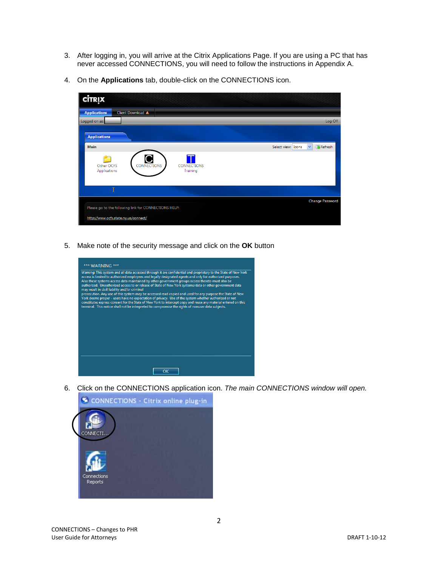- 3. After logging in, you will arrive at the Citrix Applications Page. If you are using a PC that has never accessed CONNECTIONS, you will need to follow the instructions in Appendix A.
- 4. On the **Applications** tab, double-click on the CONNECTIONS icon.



5. Make note of the security message and click on the **OK** button



6. Click on the CONNECTIONS application icon. *The main CONNECTIONS window will open.*

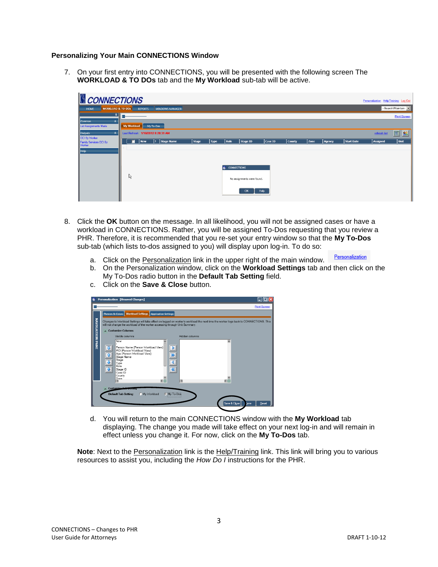## **Personalizing Your Main CONNECTIONS Window**

7. On your first entry into CONNECTIONS, you will be presented with the following screen The **WORKLOAD & TO DOs** tab and the **My Workload** sub-tab will be active.

| CONNECTIONS                                           |                    |                |                                    |              |             |      |                            |                |               |             |               |            | Personalization Help/Training Log Out |                     |
|-------------------------------------------------------|--------------------|----------------|------------------------------------|--------------|-------------|------|----------------------------|----------------|---------------|-------------|---------------|------------|---------------------------------------|---------------------|
| <b>WORKLOAD &amp; TO-DOS</b><br>HOME                  |                    | <b>REPORTS</b> | <b>WINDOWS MANAGER</b>             |              |             |      |                            |                |               |             |               |            |                                       | -Search/Maintain-   |
| ĻQ.                                                   |                    |                |                                    |              |             |      |                            |                |               |             |               |            |                                       | <b>Print Screen</b> |
| Common<br>$\hat{\mathbf{x}}$<br>List Assignments Made | <b>My Workload</b> |                | My To-Dos                          |              |             |      |                            |                |               |             |               |            |                                       |                     |
| <b>Outputs</b><br>$\hat{\mathbf{x}}$                  |                    |                | Last Refresh: 1/10/2012 8:28:31 AM |              |             |      |                            |                |               |             |               |            | refresh list                          | $\boxed{83}$<br>圖   |
| OCI By Worker<br>Family Services OCI By<br>Worker     | п                  | <b>New</b>     | Stage Name                         | <b>Stage</b> | <b>Type</b> | Role | Stage ID                   | <b>Case ID</b> | <b>County</b> | <b>Zone</b> | <b>Agency</b> | Start Date | <b>Assigned</b>                       | Unit                |
| <b>Help</b>                                           |                    |                |                                    |              |             |      |                            |                |               |             |               |            |                                       |                     |
|                                                       |                    |                |                                    |              |             |      |                            |                |               |             |               |            |                                       |                     |
|                                                       |                    |                |                                    |              |             | ۱G   | <b>CONNECTIONS</b>         |                |               |             |               |            |                                       |                     |
|                                                       | ド                  |                |                                    |              |             |      |                            |                |               |             |               |            |                                       |                     |
|                                                       |                    |                |                                    |              |             |      | No assignments were found. |                |               |             |               |            |                                       |                     |
|                                                       |                    |                |                                    |              |             |      | OK                         | Help           |               |             |               |            |                                       |                     |
|                                                       |                    |                |                                    |              |             |      |                            |                |               |             |               |            |                                       |                     |

- 8. Click the **OK** button on the message. In all likelihood, you will not be assigned cases or have a workload in CONNECTIONS. Rather, you will be assigned To-Dos requesting that you review a PHR. Therefore, it is recommended that you re-set your entry window so that the **My To-Dos** sub-tab (which lists to-dos assigned to you) will display upon log-in. To do so:
	- Personalization a. Click on the **Personalization** link in the upper right of the main window.
	- b. On the Personalization window, click on the **Workload Settings** tab and then click on the My To-Dos radio button in the **Default Tab Setting** field.



c. Click on the **Save & Close** button.

d. You will return to the main CONNECTIONS window with the **My Workload** tab displaying. The change you made will take effect on your next log-in and will remain in effect unless you change it. For now, click on the **My To-Dos** tab.

**Note**: Next to the Personalization link is the Help/Training link. This link will bring you to various resources to assist you, including the *How Do I* instructions for the PHR.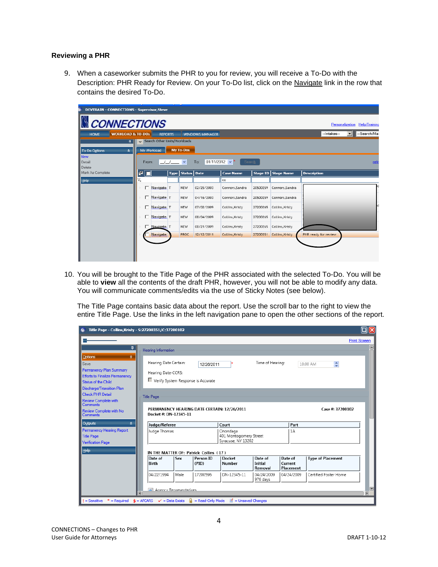## **Reviewing a PHR**

9. When a caseworker submits the PHR to you for review, you will receive a To-Do with the Description: PHR Ready for Review. On your To-Do list, click on the Navigate link in the row that contains the desired To-Do.

| <b>DEVTRAIN - CONNECTIONS - Supervisor, Steve</b> |                                              |                  |                        |                               |                 |                   |                      |                               |
|---------------------------------------------------|----------------------------------------------|------------------|------------------------|-------------------------------|-----------------|-------------------|----------------------|-------------------------------|
| <b>CONNECTIONS</b>                                |                                              |                  |                        |                               |                 |                   |                      | Personalization Help/Training |
| <b>WORKLOAD &amp; TO-DOs</b><br><b>HOME</b>       | <b>REPORTS</b>                               |                  | <b>WINDOWS MANAGER</b> |                               |                 |                   | --Intakes--          | --Search/Mai<br>ᆌ             |
| д.                                                | Search Other Units/Workloads<br>$\checkmark$ |                  |                        |                               |                 |                   |                      |                               |
| <b>To-Do Options</b><br>$\lambda$                 | My Workload                                  | <b>My To-Dos</b> |                        |                               |                 |                   |                      |                               |
| <b>New</b><br>Detail<br>Delete                    | From:                                        | $\checkmark$     | To:                    | $01/11/2012 \times$<br>Search |                 |                   |                      | refr                          |
| Mark As Complete                                  | 리<br>Type                                    | <b>Status</b>    | Date                   | <b>Case Name</b>              | <b>Stage ID</b> | <b>Stage Name</b> | <b>Description</b>   |                               |
| <b>Help</b>                                       | ¥,                                           |                  |                        | co                            |                 |                   |                      |                               |
|                                                   | Navigate T                                   | <b>NEW</b>       | 02/25/2003             | Connors, Sandra               | 20500259        | Connors, Sandra   |                      |                               |
|                                                   | Navigate <sub>T</sub><br>п                   | <b>NEW</b>       | 04/16/2003             | Connors, Sandra               | 20500259        | Connors, Sandra   |                      |                               |
|                                                   | п.<br>Navigate <sub>T</sub>                  | NEW              | 07/02/2009             | Collins, Kristy               | 27200265        | Collins, Kristy   |                      |                               |
|                                                   | п.<br>Navigate <sub>T</sub>                  | <b>NEW</b>       | 08/04/2009             | Collins, Kristy               | 27200265        | Collins, Kristy   |                      |                               |
|                                                   | Navigate <sub>T</sub>                        | NEW              | 08/21/2009             | Collins, Kristy               | 27200265        | Collins, Kristy   |                      |                               |
|                                                   | Navigate                                     | <b>PROC</b>      | 12/12/2011             | Collins, Kristy               | 27200351        | Collins, Kristy   | PHR ready for review |                               |
|                                                   |                                              |                  |                        |                               |                 |                   |                      |                               |

10. You will be brought to the Title Page of the PHR associated with the selected To-Do. You will be able to **view** all the contents of the draft PHR, however, you will not be able to modify any data. You will communicate comments/edits via the use of Sticky Notes (see below).

The Title Page contains basic data about the report. Use the scroll bar to the right to view the entire Title Page. Use the links in the left navigation pane to open the other sections of the report.

| Title Page - Collins, Kristy - S:27200351/C:37200102                                                                                                  |                                                                                   |      |                    |                                                          |                                      |                                 |                                   | $\square$ ر         |
|-------------------------------------------------------------------------------------------------------------------------------------------------------|-----------------------------------------------------------------------------------|------|--------------------|----------------------------------------------------------|--------------------------------------|---------------------------------|-----------------------------------|---------------------|
|                                                                                                                                                       |                                                                                   |      |                    |                                                          |                                      |                                 |                                   | <b>Print Screen</b> |
| 4                                                                                                                                                     | <b>Hearing Information</b>                                                        |      |                    |                                                          |                                      |                                 |                                   |                     |
| $\hat{\mathbf{x}}$<br><b>Options</b><br>Save<br><b>Permanency Plan Summary</b><br><b>Efforts to Finalize Permanency</b><br><b>Status of the Child</b> | Hearing Date Certain:<br>Hearing Date-CCRS:<br>Verify System Response is Accurate |      | 12/26/2011         |                                                          | Time of Hearing:                     |                                 | $\frac{\lambda}{\nu}$<br>10:00 AM |                     |
| <b>Discharge/Transition Plan</b><br><b>Check PHR Detail</b><br>Review Complete with<br><b>Comments</b>                                                | <b>Title Page</b>                                                                 |      |                    |                                                          |                                      |                                 |                                   |                     |
| Review Complete with No<br>Comments                                                                                                                   | Docket #: DN-12345-11                                                             |      |                    | PERMANENCY HEARING DATE CERTAIN: 12/26/2011              |                                      |                                 | Case #: 37200102                  |                     |
| Outputs<br><b>*</b>                                                                                                                                   | Judge/Referee                                                                     |      |                    | Court                                                    |                                      | Part                            |                                   |                     |
| Permanency Hearing Report<br><b>Title Page</b><br><b>Verification Page</b>                                                                            | Judge Thomas                                                                      |      |                    | Onondaga<br>401 Montogomery Street<br>Syracuse, NY 13202 |                                      | 1A                              |                                   |                     |
| Help                                                                                                                                                  | IN THE MATTER OF: Patrick Collins (17)                                            |      |                    |                                                          |                                      |                                 |                                   |                     |
|                                                                                                                                                       | Date of<br>Birth                                                                  | Sex  | Person ID<br>(PID) | Docket<br><b>Number</b>                                  | Date of<br><b>Initial</b><br>Removal | Date of<br>Current<br>Placement | <b>Type of Placement</b>          |                     |
|                                                                                                                                                       | 04/22/1994                                                                        | Male | 17200596           | DN-12345-11                                              | 04/24/2009<br>976 days               | 04/24/2009                      | Certified Foster Home             |                     |
|                                                                                                                                                       | A Agency Representatives                                                          |      |                    |                                                          |                                      |                                 |                                   | $\blacksquare$      |
| $I =$ Sensitive<br>* = Required $\hat{\mathbf{s}}$ = AFCARS $\checkmark$ = Data Exists                                                                |                                                                                   | -9   | $=$ Read-Only Mode | $\blacksquare'$ = Unsaved Changes                        |                                      |                                 |                                   |                     |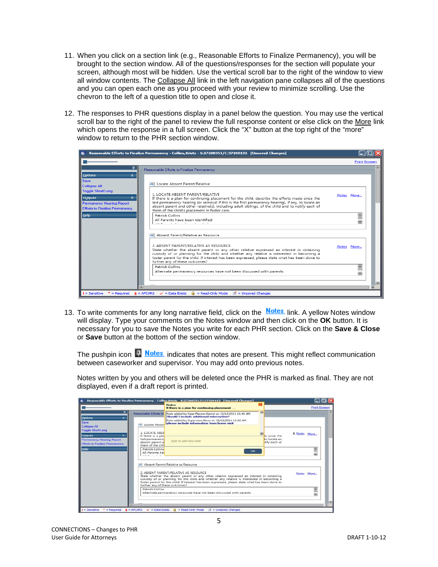- 11. When you click on a section link (e.g., Reasonable Efforts to Finalize Permanency), you will be brought to the section window. All of the questions/responses for the section will populate your screen, although most will be hidden. Use the vertical scroll bar to the right of the window to view all window contents. The Collapse All link in the left navigation pane collapses all of the questions and you can open each one as you proceed with your review to minimize scrolling. Use the chevron to the left of a question title to open and close it.
- 12. The responses to PHR questions display in a panel below the question. You may use the vertical scroll bar to the right of the panel to review the full response content or else click on the More link which opens the response in a full screen. Click the "X" button at the top right of the "more" window to return to the PHR section window.

|                                                                                                                                                                                          | Reasonable Efforts to Finalize Permanency - Collins, Kristy - S:27200351/C:37200102 [Unsaved Changes]                                                                                                                                                                                                                                                                                                                                                                                                                                |            |                     |
|------------------------------------------------------------------------------------------------------------------------------------------------------------------------------------------|--------------------------------------------------------------------------------------------------------------------------------------------------------------------------------------------------------------------------------------------------------------------------------------------------------------------------------------------------------------------------------------------------------------------------------------------------------------------------------------------------------------------------------------|------------|---------------------|
|                                                                                                                                                                                          |                                                                                                                                                                                                                                                                                                                                                                                                                                                                                                                                      |            | <b>Print Screen</b> |
| ņ<br><b>Options</b><br>ヘ<br>Save<br><b>Collapse All</b><br>Toggle Short/Long<br>슷<br><b>Outputs</b><br>Permanency Hearing Report<br><b>Efforts to Finalize Permanency</b><br><b>Help</b> | Reasonable Efforts to Finalize Permanency<br>Locate Absent Parent/Relative<br>1. LOCATE ARSENT PARENT/RELATIVE<br>If there is a plan for continuing placement for the child, describe the efforts made since the<br>last permanency hearing (or removal if this is the first permanency hearing), if any, to locate an<br>absent parent and other relative(s), including adult siblings, of the child and to notify each of<br>them of the child's placement in foster care.<br>Patrick Collins<br>All Parents have been identified  | Notes More |                     |
|                                                                                                                                                                                          | and the state of the state of<br>Absent Parent/Relative as Resource<br>2. ARSENT PARENT/RELATIVE AS RESOURCE<br>State whether the absent parent or any other relative expressed an interest in obtaining<br>custody of or planning for the child and whether any relative is interested in becoming a<br>foster parent for the child. If interest has been expressed, please state what has been done to<br>further any of these outcomes?<br>Patrick Collins<br>Alternate permanency resources have not been discussed with parents | Notes More |                     |
| $I =$ Sensitive<br>$*$ = Required                                                                                                                                                        | A<br>= Read-Only Mode<br>$\blacksquare$ = Unsaved Changes<br>$\hat{\mathbf{s}}$ = AFCARS $\checkmark$ = Data Exists                                                                                                                                                                                                                                                                                                                                                                                                                  |            |                     |

13. To write comments for any long narrative field, click on the Notes link. A yellow Notes window will display. Type your comments on the Notes window and then click on the **OK** button. It is necessary for you to save the Notes you write for each PHR section. Click on the **Save & Close** or **Save** button at the bottom of the section window.

The pushpin icon  $\Box$  Notes indicates that notes are present. This might reflect communication between caseworker and supervisor. You may add onto previous notes.

Notes written by you and others will be deleted once the PHR is marked as final. They are not displayed, even if a draft report is printed.

|                                                                    |                                                        | <b>Notes</b><br>If there is a plan for continuing placement                                                                                                                                                                                                                                                                                                                                               |           |                              | <b>Print Screen</b> |
|--------------------------------------------------------------------|--------------------------------------------------------|-----------------------------------------------------------------------------------------------------------------------------------------------------------------------------------------------------------------------------------------------------------------------------------------------------------------------------------------------------------------------------------------------------------|-----------|------------------------------|---------------------|
| a.<br>Options<br>$\star$                                           | Reasonable Efforts to                                  | Note added by Case Planner, Darryl on 12/12/2011 10:45 AM<br><b>Should I include additional information?</b><br>Note added by Supervisor, Steve on 12/12/2011 11:33 AM                                                                                                                                                                                                                                    | <b>Um</b> |                              |                     |
| Save<br><b>Collapse All</b><br>Toggle Short/Long                   | Locate Absen<br><b>1. LOCATE ABSE</b>                  | please include information from home visit                                                                                                                                                                                                                                                                                                                                                                |           |                              |                     |
| Outputs<br>×                                                       | If there is a pla                                      |                                                                                                                                                                                                                                                                                                                                                                                                           |           | le since the                 | <b>4 Notes More</b> |
| Permanency Hearing Report<br><b>Efforts to Finalize Permanency</b> | last permanency<br>absent parent a<br>them of the chil | Type to add new note                                                                                                                                                                                                                                                                                                                                                                                      |           | to locate an<br>tify each of |                     |
| Help                                                               | Patrick Collins<br>All Parents hav<br>$-10 - 10$       | OK                                                                                                                                                                                                                                                                                                                                                                                                        |           |                              | 8                   |
|                                                                    |                                                        | Absent Parent/Relative as Resource<br>2. ABSENT PARENT/RELATIVE AS RESOURCE<br>State whether the absent parent or any other relative expressed an interest in obtaining<br>custody of or planning for the child and whether any relative is interested in becoming a<br>foster parent for the child. If interest has been expressed, please state what has been done to<br>further any of these outcomes? |           |                              | Notes More          |
|                                                                    | Patrick Collins                                        |                                                                                                                                                                                                                                                                                                                                                                                                           |           |                              | 8                   |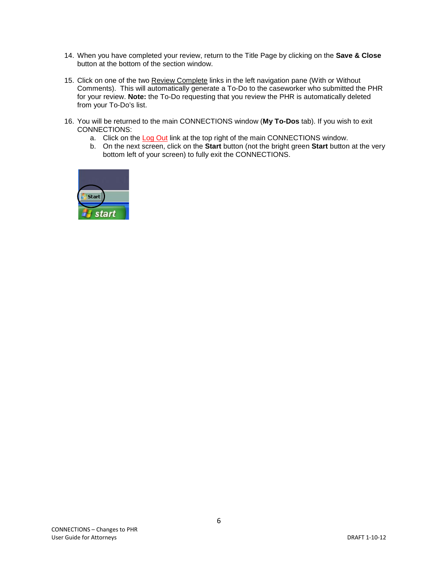- 14. When you have completed your review, return to the Title Page by clicking on the **Save & Close** button at the bottom of the section window.
- 15. Click on one of the two Review Complete links in the left navigation pane (With or Without Comments). This will automatically generate a To-Do to the caseworker who submitted the PHR for your review. **Note:** the To-Do requesting that you review the PHR is automatically deleted from your To-Do's list.
- 16. You will be returned to the main CONNECTIONS window (**My To-Dos** tab). If you wish to exit CONNECTIONS:
	- a. Click on the <u>Log Out</u> link at the top right of the main CONNECTIONS window.
	- b. On the next screen, click on the **Start** button (not the bright green **Start** button at the very bottom left of your screen) to fully exit the CONNECTIONS.



6